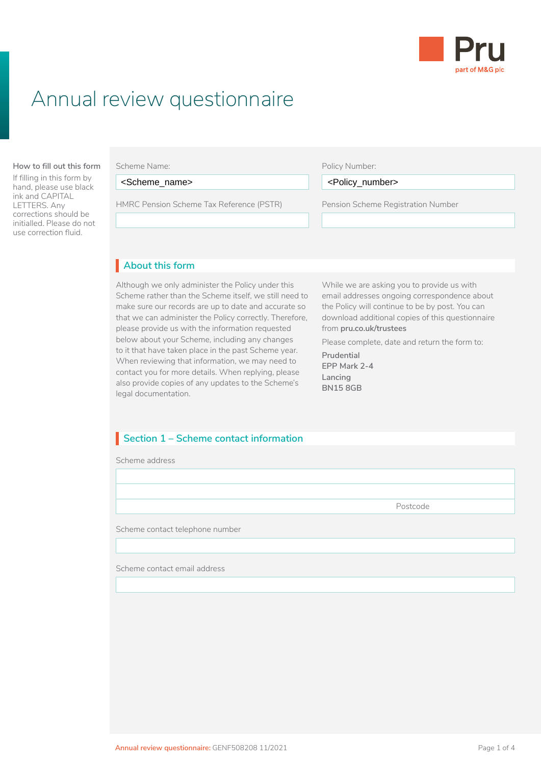

# Annual review questionnaire

#### **How to fill out this form Scheme Name:**

If filling in this form by hand, please use black ink and CAPITAL LETTERS. Any corrections should be initialled. Please do not use correction fluid.

<Scheme\_name>

Scheme (LGPS) application, you need to read: HMRC Pension Scheme Tax Reference (PSTR) Pension Scheme Registration Number

#### Policy Number:

<Scheme\_name> <Policy\_number>

Pension Scheme Registration Number • are already paying AVCs and you've changed  $\overline{L}$ 

### • Client Agreement **About this form** I

Although we only administer the Policy under this Scheme rather than the Scheme itself, we still need to make sure our records are up to date and accurate so that we can administer the Policy correctly. Therefore, please provide us with the information requested below about your Scheme, including any changes to it that have taken place in the past Scheme year. When reviewing that information, we may need to contact you for more details. When replying, please also provide copies of any updates to the Scheme's legal documentation.

While we are asking you to provide us with email addresses ongoing correspondence about the Policy will continue to be by post. You can download additional copies of this questionnaire from **[pru.co.uk/trustees](https://www.pru.co.uk/trustees/)**

Please complete, date and return the form to:

**Prudential EPP Mark 2-4 Lancing BN15 8GB**

# Section 1 – Scheme contact information

Scheme address

Postcode

Scheme contact telephone number

Scheme contact email address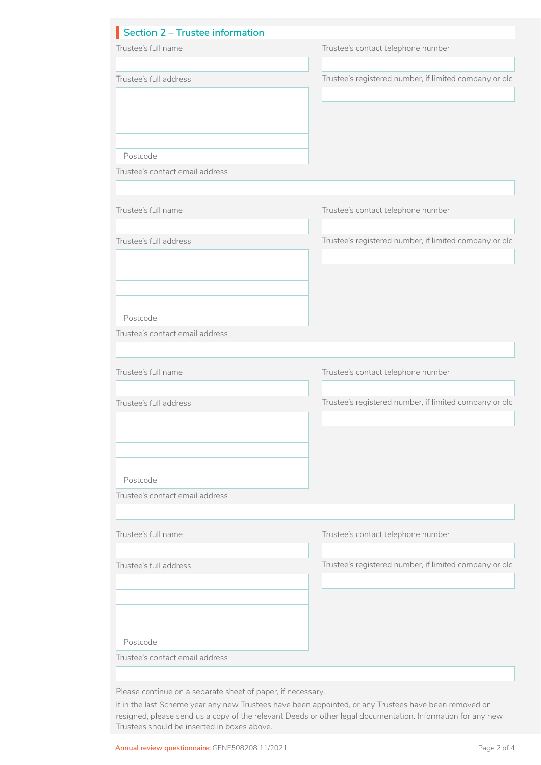| Section 2 - Trustee information |                                                        |
|---------------------------------|--------------------------------------------------------|
| Trustee's full name             | Trustee's contact telephone number                     |
|                                 |                                                        |
| Trustee's full address          | Trustee's registered number, if limited company or plc |
|                                 |                                                        |
|                                 |                                                        |
|                                 |                                                        |
|                                 |                                                        |
| Postcode                        |                                                        |
| Trustee's contact email address |                                                        |
|                                 |                                                        |
| Trustee's full name             | Trustee's contact telephone number                     |
|                                 |                                                        |
| Trustee's full address          | Trustee's registered number, if limited company or plc |
|                                 |                                                        |
|                                 |                                                        |
|                                 |                                                        |
|                                 |                                                        |
| Postcode                        |                                                        |
| Trustee's contact email address |                                                        |
|                                 |                                                        |
| Trustee's full name             | Trustee's contact telephone number                     |
|                                 |                                                        |
| Trustee's full address          | Trustee's registered number, if limited company or plc |
|                                 |                                                        |
|                                 |                                                        |
|                                 |                                                        |
|                                 |                                                        |
|                                 |                                                        |
| Postcode                        |                                                        |
| Trustee's contact email address |                                                        |
|                                 |                                                        |
| Trustee's full name             | Trustee's contact telephone number                     |
|                                 |                                                        |
| Trustee's full address          | Trustee's registered number, if limited company or plc |
|                                 |                                                        |
|                                 |                                                        |
|                                 |                                                        |
|                                 |                                                        |
| Postcode                        |                                                        |
| Trustee's contact email address |                                                        |

If in the last Scheme year any new Trustees have been appointed, or any Trustees have been removed or resigned, please send us a copy of the relevant Deeds or other legal documentation. Information for any new Trustees should be inserted in boxes above.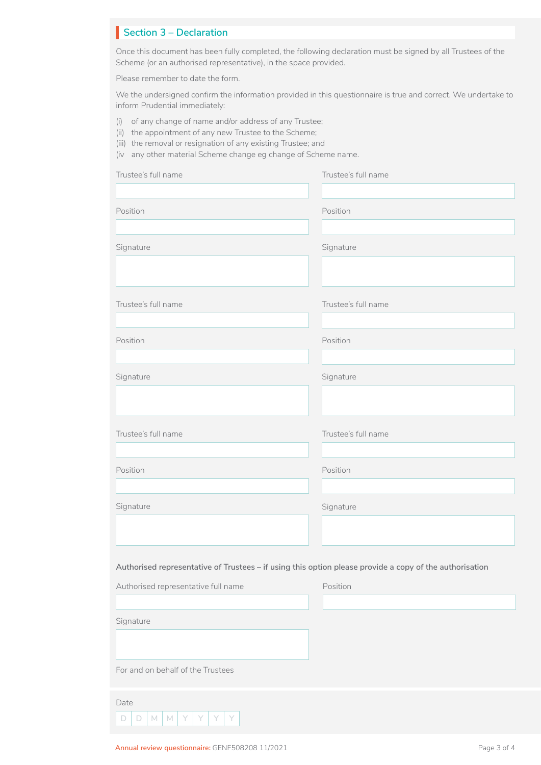# **Section 3 – Declaration**

Once this document has been fully completed, the following declaration must be signed by all Trustees of the Scheme (or an authorised representative), in the space provided.

Please remember to date the form.

We the undersigned confirm the information provided in this questionnaire is true and correct. We undertake to inform Prudential immediately:

- (i) of any change of name and/or address of any Trustee;
- (ii) the appointment of any new Trustee to the Scheme;
- (iii) the removal or resignation of any existing Trustee; and

(iv any other material Scheme change eg change of Scheme name.

| Trustee's full name                                                                                     | Trustee's full name |
|---------------------------------------------------------------------------------------------------------|---------------------|
|                                                                                                         |                     |
| Position                                                                                                | Position            |
|                                                                                                         |                     |
| Signature                                                                                               | Signature           |
|                                                                                                         |                     |
| Trustee's full name                                                                                     | Trustee's full name |
|                                                                                                         |                     |
| Position                                                                                                | Position            |
|                                                                                                         |                     |
| Signature                                                                                               | Signature           |
|                                                                                                         |                     |
|                                                                                                         |                     |
| Trustee's full name                                                                                     | Trustee's full name |
|                                                                                                         |                     |
| Position                                                                                                | Position            |
|                                                                                                         |                     |
| Signature                                                                                               | Signature           |
|                                                                                                         |                     |
|                                                                                                         |                     |
|                                                                                                         |                     |
| Authorised representative of Trustees - if using this option please provide a copy of the authorisation |                     |
| Authorised representative full name                                                                     | Position            |
|                                                                                                         |                     |
| Signature                                                                                               |                     |
|                                                                                                         |                     |
| For and on behalf of the Trustees                                                                       |                     |
| Date                                                                                                    |                     |
| Y<br>$\Box$<br>$\Box$<br>$M$ $M$<br>Y<br>Y<br>Y                                                         |                     |